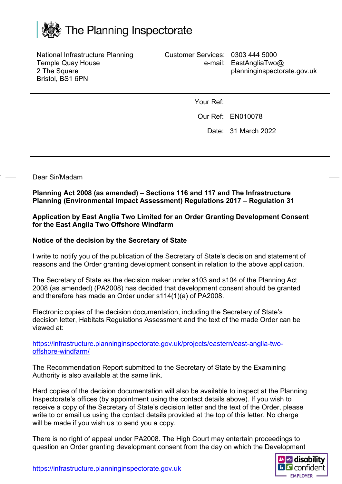

National Infrastructure Planning Temple Quay House 2 The Square Bristol, BS1 6PN

Customer Services: 0303 444 5000 e-mail: EastAngliaTwo@ planninginspectorate.gov.uk

Your Ref:

Our Ref: EN010078

Date: 31 March 2022

Dear Sir/Madam

**Planning Act 2008 (as amended) – Sections 116 and 117 and The Infrastructure Planning (Environmental Impact Assessment) Regulations 2017 – Regulation 31**

**Application by East Anglia Two Limited for an Order Granting Development Consent for the East Anglia Two Offshore Windfarm** 

## **Notice of the decision by the Secretary of State**

I write to notify you of the publication of the Secretary of State's decision and statement of reasons and the Order granting development consent in relation to the above application.

The Secretary of State as the decision maker under s103 and s104 of the Planning Act 2008 (as amended) (PA2008) has decided that development consent should be granted and therefore has made an Order under s114(1)(a) of PA2008.

Electronic copies of the decision documentation, including the Secretary of State's decision letter, Habitats Regulations Assessment and the text of the made Order can be viewed at:

[https://infrastructure.planninginspectorate.gov.uk/projects/eastern/east-anglia-two](https://infrastructure.planninginspectorate.gov.uk/projects/eastern/east-anglia-two-offshore-windfarm/)[offshore-windfarm/](https://infrastructure.planninginspectorate.gov.uk/projects/eastern/east-anglia-two-offshore-windfarm/)

The Recommendation Report submitted to the Secretary of State by the Examining Authority is also available at the same link.

Hard copies of the decision documentation will also be available to inspect at the Planning Inspectorate's offices (by appointment using the contact details above). If you wish to receive a copy of the Secretary of State's decision letter and the text of the Order, please write to or email us using the contact details provided at the top of this letter. No charge will be made if you wish us to send you a copy.

There is no right of appeal under PA2008. The High Court may entertain proceedings to question an Order granting development consent from the day on which the Development